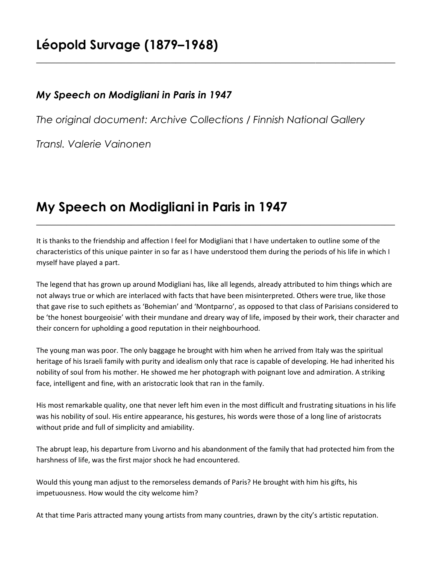## **Léopold Survage (1879–1968)**

## *My Speech on Modigliani in Paris in 1947*

*The original document: Archive Collections / Finnish National Gallery*

**\_\_\_\_\_\_\_\_\_\_\_\_\_\_\_\_\_\_\_\_\_\_\_\_\_\_\_\_\_\_\_\_\_\_\_\_\_\_\_\_\_\_\_\_\_\_\_\_\_\_\_\_\_\_\_\_\_\_\_\_\_\_\_\_\_\_\_\_\_\_\_\_**

*Transl. Valerie Vainonen*

## **My Speech on Modigliani in Paris in 1947**

It is thanks to the friendship and affection I feel for Modigliani that I have undertaken to outline some of the characteristics of this unique painter in so far as I have understood them during the periods of his life in which I myself have played a part.

**\_\_\_\_\_\_\_\_\_\_\_\_\_\_\_\_\_\_\_\_\_\_\_\_\_\_\_\_\_\_\_\_\_\_\_\_\_\_\_\_\_\_\_\_\_\_\_\_\_\_\_\_\_\_\_\_\_\_\_\_\_\_\_\_\_\_\_\_\_\_\_\_**

The legend that has grown up around Modigliani has, like all legends, already attributed to him things which are not always true or which are interlaced with facts that have been misinterpreted. Others were true, like those that gave rise to such epithets as 'Bohemian' and 'Montparno', as opposed to that class of Parisians considered to be 'the honest bourgeoisie' with their mundane and dreary way of life, imposed by their work, their character and their concern for upholding a good reputation in their neighbourhood.

The young man was poor. The only baggage he brought with him when he arrived from Italy was the spiritual heritage of his Israeli family with purity and idealism only that race is capable of developing. He had inherited his nobility of soul from his mother. He showed me her photograph with poignant love and admiration. A striking face, intelligent and fine, with an aristocratic look that ran in the family.

His most remarkable quality, one that never left him even in the most difficult and frustrating situations in his life was his nobility of soul. His entire appearance, his gestures, his words were those of a long line of aristocrats without pride and full of simplicity and amiability.

The abrupt leap, his departure from Livorno and his abandonment of the family that had protected him from the harshness of life, was the first major shock he had encountered.

Would this young man adjust to the remorseless demands of Paris? He brought with him his gifts, his impetuousness. How would the city welcome him?

At that time Paris attracted many young artists from many countries, drawn by the city's artistic reputation.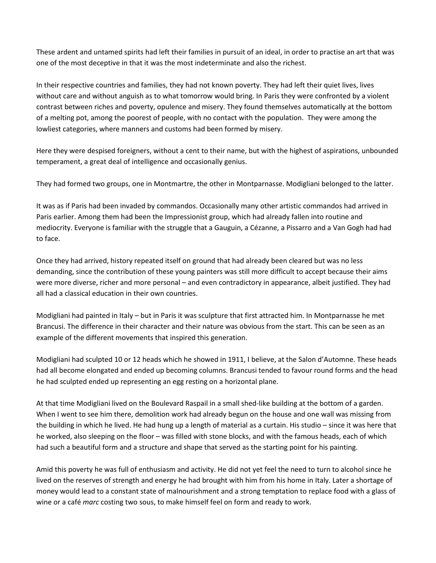These ardent and untamed spirits had left their families in pursuit of an ideal, in order to practise an art that was one of the most deceptive in that it was the most indeterminate and also the richest.

In their respective countries and families, they had not known poverty. They had left their quiet lives, lives without care and without anguish as to what tomorrow would bring. In Paris they were confronted by a violent contrast between riches and poverty, opulence and misery. They found themselves automatically at the bottom of a melting pot, among the poorest of people, with no contact with the population. They were among the lowliest categories, where manners and customs had been formed by misery.

Here they were despised foreigners, without a cent to their name, but with the highest of aspirations, unbounded temperament, a great deal of intelligence and occasionally genius.

They had formed two groups, one in Montmartre, the other in Montparnasse. Modigliani belonged to the latter.

It was as if Paris had been invaded by commandos. Occasionally many other artistic commandos had arrived in Paris earlier. Among them had been the Impressionist group, which had already fallen into routine and mediocrity. Everyone is familiar with the struggle that a Gauguin, a Cézanne, a Pissarro and a Van Gogh had had to face.

Once they had arrived, history repeated itself on ground that had already been cleared but was no less demanding, since the contribution of these young painters was still more difficult to accept because their aims were more diverse, richer and more personal – and even contradictory in appearance, albeit justified. They had all had a classical education in their own countries.

Modigliani had painted in Italy – but in Paris it was sculpture that first attracted him. In Montparnasse he met Brancusi. The difference in their character and their nature was obvious from the start. This can be seen as an example of the different movements that inspired this generation.

Modigliani had sculpted 10 or 12 heads which he showed in 1911, I believe, at the Salon d'Automne. These heads had all become elongated and ended up becoming columns. Brancusi tended to favour round forms and the head he had sculpted ended up representing an egg resting on a horizontal plane.

At that time Modigliani lived on the Boulevard Raspail in a small shed-like building at the bottom of a garden. When I went to see him there, demolition work had already begun on the house and one wall was missing from the building in which he lived. He had hung up a length of material as a curtain. His studio – since it was here that he worked, also sleeping on the floor – was filled with stone blocks, and with the famous heads, each of which had such a beautiful form and a structure and shape that served as the starting point for his painting.

Amid this poverty he was full of enthusiasm and activity. He did not yet feel the need to turn to alcohol since he lived on the reserves of strength and energy he had brought with him from his home in Italy. Later a shortage of money would lead to a constant state of malnourishment and a strong temptation to replace food with a glass of wine or a café *marc* costing two sous, to make himself feel on form and ready to work.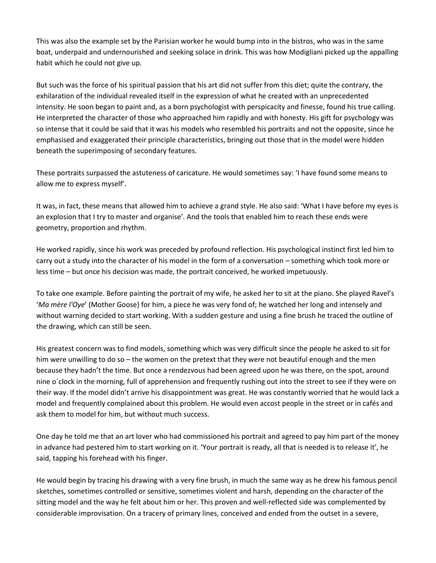This was also the example set by the Parisian worker he would bump into in the bistros, who was in the same boat, underpaid and undernourished and seeking solace in drink. This was how Modigliani picked up the appalling habit which he could not give up.

But such was the force of his spiritual passion that his art did not suffer from this diet; quite the contrary, the exhilaration of the individual revealed itself in the expression of what he created with an unprecedented intensity. He soon began to paint and, as a born psychologist with perspicacity and finesse, found his true calling. He interpreted the character of those who approached him rapidly and with honesty. His gift for psychology was so intense that it could be said that it was his models who resembled his portraits and not the opposite, since he emphasised and exaggerated their principle characteristics, bringing out those that in the model were hidden beneath the superimposing of secondary features.

These portraits surpassed the astuteness of caricature. He would sometimes say: 'I have found some means to allow me to express myself'.

It was, in fact, these means that allowed him to achieve a grand style. He also said: 'What I have before my eyes is an explosion that I try to master and organise'. And the tools that enabled him to reach these ends were geometry, proportion and rhythm.

He worked rapidly, since his work was preceded by profound reflection. His psychological instinct first led him to carry out a study into the character of his model in the form of a conversation – something which took more or less time – but once his decision was made, the portrait conceived, he worked impetuously.

To take one example. Before painting the portrait of my wife, he asked her to sit at the piano. She played Ravel's '*Ma mère l'Oye*' (Mother Goose) for him, a piece he was very fond of; he watched her long and intensely and without warning decided to start working. With a sudden gesture and using a fine brush he traced the outline of the drawing, which can still be seen.

His greatest concern was to find models, something which was very difficult since the people he asked to sit for him were unwilling to do so – the women on the pretext that they were not beautiful enough and the men because they hadn't the time. But once a rendezvous had been agreed upon he was there, on the spot, around nine o´clock in the morning, full of apprehension and frequently rushing out into the street to see if they were on their way. If the model didn't arrive his disappointment was great. He was constantly worried that he would lack a model and frequently complained about this problem. He would even accost people in the street or in cafés and ask them to model for him, but without much success.

One day he told me that an art lover who had commissioned his portrait and agreed to pay him part of the money in advance had pestered him to start working on it. 'Your portrait is ready, all that is needed is to release it', he said, tapping his forehead with his finger.

He would begin by tracing his drawing with a very fine brush, in much the same way as he drew his famous pencil sketches, sometimes controlled or sensitive, sometimes violent and harsh, depending on the character of the sitting model and the way he felt about him or her. This proven and well-reflected side was complemented by considerable improvisation. On a tracery of primary lines, conceived and ended from the outset in a severe,